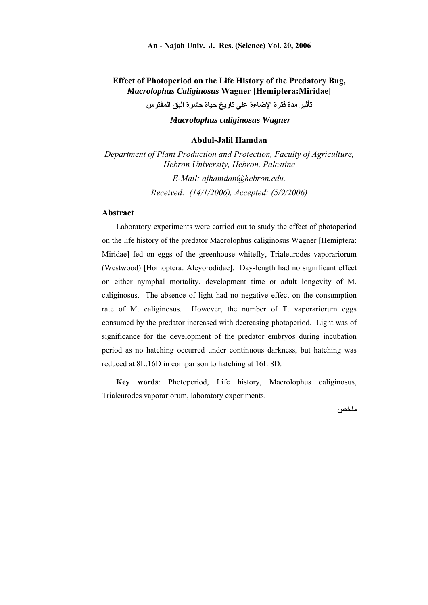## **Effect of Photoperiod on the Life History of the Predatory Bug,**  *Macrolophus Caliginosus* **Wagner [Hemiptera:Miridae]**

**تأثير مدة فترة الإضاءة على تاريخ حياة حشرة البق المفترس**

*Macrolophus caliginosus Wagner* 

#### **Abdul-Jalil Hamdan**

*Department of Plant Production and Protection, Faculty of Agriculture, Hebron University, Hebron, Palestine E-Mail: ajhamdan@hebron.edu.* 

*Received: (14/1/2006), Accepted: (5/9/2006)* 

#### **Abstract**

Laboratory experiments were carried out to study the effect of photoperiod on the life history of the predator Macrolophus caliginosus Wagner [Hemiptera: Miridae] fed on eggs of the greenhouse whitefly, Trialeurodes vaporariorum (Westwood) [Homoptera: Aleyorodidae]. Day-length had no significant effect on either nymphal mortality, development time or adult longevity of M. caliginosus. The absence of light had no negative effect on the consumption rate of M. caliginosus. However, the number of T. vaporariorum eggs consumed by the predator increased with decreasing photoperiod. Light was of significance for the development of the predator embryos during incubation period as no hatching occurred under continuous darkness, but hatching was reduced at 8L:16D in comparison to hatching at 16L:8D.

**Key words**: Photoperiod, Life history, Macrolophus caliginosus, Trialeurodes vaporariorum, laboratory experiments.

**ملخص**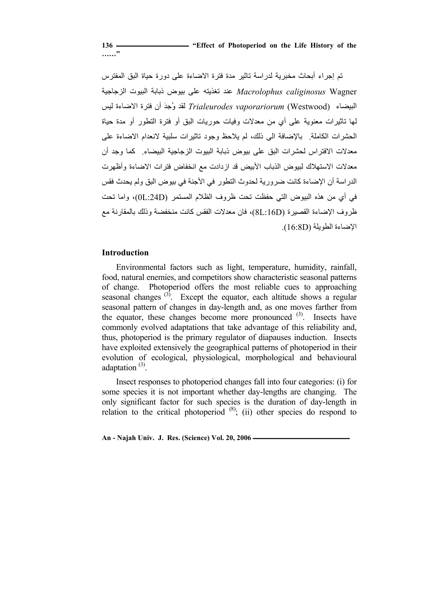**136 ـــــــــــــــــــــــــــــــــــــــــــــــــــ" Effect of Photoperiod on the Life History of the ……"**

تم إجراء أبحاث مخبرية لدراسة تاثير مدة فترة الاضاءة على دورة حياة البق المفترس Wagner *caliginosus Macrolophus* عند تغذيته على بيوض ذبابة البيوت الزجاجية البيضاء (Westwood(*vaporariorum Trialeurodes* لقد وُجدَ أن فترة الاضاءة ليس لها تاثيرات معنوية على أي من معدلات وفيات حوريات البق أو فترة التطور أو مدة حياة الحشرات الكاملة. بالإضافة الى ذلك، لم يلاحظ وجود تاثيرات سلبية لانعدام الاضاءة على معدلات الافتراس لحشرات البق على بيوض ذبابة البيوت الزجاجية البيضاء. كما وجد أن معدلات الاستهلاك لبيوض الذباب الأبيض قد ازدادت مع انخفاض فترات الاضاءة وأظهرت الدراسة أن الإضاءة كانت ضرورية لحدوث التطور في الأجنة في بيوض البق ولم يحدث فقس في أي من هذه البيوض التي حفظت تحت ظروف الظلام المستمر (D:24L0(، واما تحت ظروف الإضاءة القصيرة (D:16L8(، فان معدلات الفقس آانت منخفضة وذلك بالمقارنة مع الإضاءة الطويلة (D16:8(.

#### **Introduction**

Environmental factors such as light, temperature, humidity, rainfall, food, natural enemies, and competitors show characteristic seasonal patterns of change. Photoperiod offers the most reliable cues to approaching seasonal changes  $(3)$ . Except the equator, each altitude shows a regular seasonal pattern of changes in day-length and, as one moves farther from the equator, these changes become more pronounced  $(3)$ . Insects have commonly evolved adaptations that take advantage of this reliability and, thus, photoperiod is the primary regulator of diapauses induction. Insects have exploited extensively the geographical patterns of photoperiod in their evolution of ecological, physiological, morphological and behavioural adaptation $^{(3)}$ .

Insect responses to photoperiod changes fall into four categories: (i) for some species it is not important whether day-lengths are changing. The only significant factor for such species is the duration of day-length in relation to the critical photoperiod  $(8)$ ; (ii) other species do respond to

An - Najah Univ. J. Res. (Science) Vol. 20, 2006 *An* - Najah Univ. J. Res. (Science) Vol. 20, 2006 *An*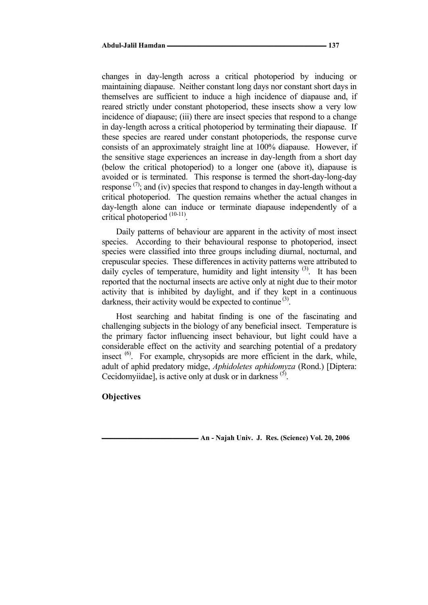changes in day-length across a critical photoperiod by inducing or maintaining diapause. Neither constant long days nor constant short days in themselves are sufficient to induce a high incidence of diapause and, if reared strictly under constant photoperiod, these insects show a very low incidence of diapause; (iii) there are insect species that respond to a change in day-length across a critical photoperiod by terminating their diapause. If these species are reared under constant photoperiods, the response curve consists of an approximately straight line at 100% diapause. However, if the sensitive stage experiences an increase in day-length from a short day (below the critical photoperiod) to a longer one (above it), diapause is avoided or is terminated. This response is termed the short-day-long-day response  $(7)$ ; and (iv) species that respond to changes in day-length without a critical photoperiod. The question remains whether the actual changes in day-length alone can induce or terminate diapause independently of a critical photoperiod (10-11).

Daily patterns of behaviour are apparent in the activity of most insect species. According to their behavioural response to photoperiod, insect species were classified into three groups including diurnal, nocturnal, and crepuscular species. These differences in activity patterns were attributed to daily cycles of temperature, humidity and light intensity  $(3)$ . It has been reported that the nocturnal insects are active only at night due to their motor activity that is inhibited by daylight, and if they kept in a continuous darkness, their activity would be expected to continue  $(3)$ .

Host searching and habitat finding is one of the fascinating and challenging subjects in the biology of any beneficial insect. Temperature is the primary factor influencing insect behaviour, but light could have a considerable effect on the activity and searching potential of a predatory insect  $(6)$ . For example, chrysopids are more efficient in the dark, while, adult of aphid predatory midge, *Aphidoletes aphidomyza* (Rond.) [Diptera: Cecidomyiidae], is active only at dusk or in darkness  $(5)$ .

#### **Objectives**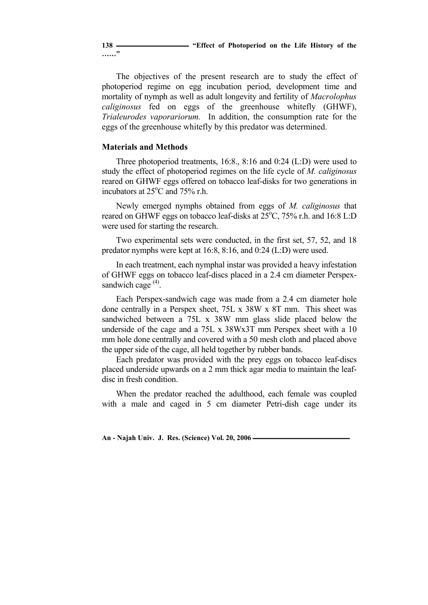**……"**

The objectives of the present research are to study the effect of photoperiod regime on egg incubation period, development time and mortality of nymph as well as adult longevity and fertility of *Macrolophus caliginosus* fed on eggs of the greenhouse whitefly (GHWF), *Trialeurodes vaporariorum.* In addition, the consumption rate for the eggs of the greenhouse whitefly by this predator was determined.

# **Materials and Methods**

Three photoperiod treatments, 16:8., 8:16 and 0:24 (L:D) were used to study the effect of photoperiod regimes on the life cycle of *M. caliginosus* reared on GHWF eggs offered on tobacco leaf-disks for two generations in incubators at 25°C and 75% r.h.

Newly emerged nymphs obtained from eggs of *M. caliginosus* that reared on GHWF eggs on tobacco leaf-disks at 25°C, 75% r.h. and 16:8 L:D were used for starting the research.

Two experimental sets were conducted, in the first set, 57, 52, and 18 predator nymphs were kept at 16:8, 8:16, and 0:24 (L:D) were used.

In each treatment, each nymphal instar was provided a heavy infestation of GHWF eggs on tobacco leaf-discs placed in a 2.4 cm diameter Perspexsandwich cage  $(4)$ .

Each Perspex-sandwich cage was made from a 2.4 cm diameter hole done centrally in a Perspex sheet, 75L x 38W x 8T mm. This sheet was sandwiched between a 75L x 38W mm glass slide placed below the underside of the cage and a 75L x 38Wx3T mm Perspex sheet with a 10 mm hole done centrally and covered with a 50 mesh cloth and placed above the upper side of the cage, all held together by rubber bands.

Each predator was provided with the prey eggs on tobacco leaf-discs placed underside upwards on a 2 mm thick agar media to maintain the leafdisc in fresh condition.

When the predator reached the adulthood, each female was coupled with a male and caged in 5 cm diameter Petri-dish cage under its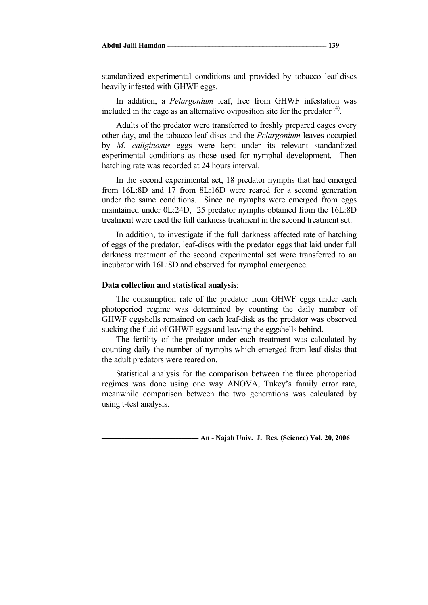standardized experimental conditions and provided by tobacco leaf-discs heavily infested with GHWF eggs.

In addition, a *Pelargonium* leaf, free from GHWF infestation was included in the cage as an alternative oviposition site for the predator  $<sup>(4)</sup>$ .</sup>

Adults of the predator were transferred to freshly prepared cages every other day, and the tobacco leaf-discs and the *Pelargonium* leaves occupied by *M. caliginosus* eggs were kept under its relevant standardized experimental conditions as those used for nymphal development. Then hatching rate was recorded at 24 hours interval.

In the second experimental set, 18 predator nymphs that had emerged from 16L:8D and 17 from 8L:16D were reared for a second generation under the same conditions. Since no nymphs were emerged from eggs maintained under 0L:24D, 25 predator nymphs obtained from the 16L:8D treatment were used the full darkness treatment in the second treatment set.

In addition, to investigate if the full darkness affected rate of hatching of eggs of the predator, leaf-discs with the predator eggs that laid under full darkness treatment of the second experimental set were transferred to an incubator with 16L:8D and observed for nymphal emergence.

#### **Data collection and statistical analysis**:

The consumption rate of the predator from GHWF eggs under each photoperiod regime was determined by counting the daily number of GHWF eggshells remained on each leaf-disk as the predator was observed sucking the fluid of GHWF eggs and leaving the eggshells behind.

The fertility of the predator under each treatment was calculated by counting daily the number of nymphs which emerged from leaf-disks that the adult predators were reared on.

Statistical analysis for the comparison between the three photoperiod regimes was done using one way ANOVA, Tukey's family error rate, meanwhile comparison between the two generations was calculated by using t-test analysis.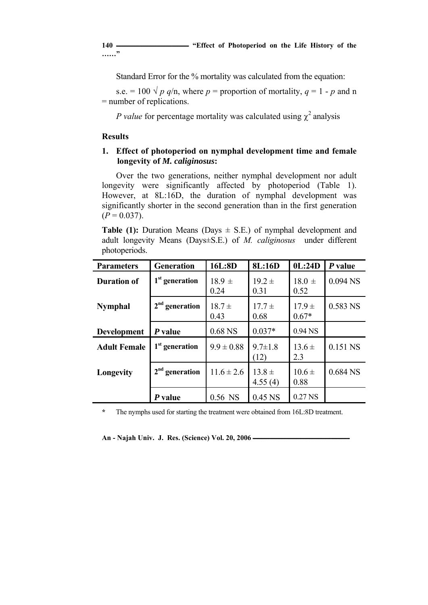**……"**

Standard Error for the % mortality was calculated from the equation:

s.e.  $= 100 \sqrt{p} q/n$ , where  $p =$  proportion of mortality,  $q = 1 - p$  and n = number of replications.

*P value* for percentage mortality was calculated using  $\chi^2$  analysis

# **Results**

# **1. Effect of photoperiod on nymphal development time and female longevity of** *M. caliginosus***:**

Over the two generations, neither nymphal development nor adult longevity were significantly affected by photoperiod (Table 1). However, at 8L:16D, the duration of nymphal development was significantly shorter in the second generation than in the first generation  $(P = 0.037)$ .

**Table (1):** Duration Means (Days  $\pm$  S.E.) of nymphal development and adult longevity Means (Days±S.E.) of *M. caliginosus* under different photoperiods.

| <b>Parameters</b>   | <b>Generation</b>          | 16L:8D             | 8L:16D                | 0L:24D                | P value    |
|---------------------|----------------------------|--------------------|-----------------------|-----------------------|------------|
| <b>Duration of</b>  | $1st$ generation           | $18.9 \pm$<br>0.24 | $19.2 \pm$<br>0.31    | $18.0 \pm$<br>0.52    | $0.094$ NS |
| <b>Nymphal</b>      | $2nd$ generation           | $18.7 \pm$<br>0.43 | $17.7 \pm$<br>0.68    | $17.9 \pm$<br>$0.67*$ | 0.583 NS   |
| <b>Development</b>  | P value                    | 0.68 NS            | $0.037*$              | $0.94$ NS             |            |
| <b>Adult Female</b> | 1 <sup>st</sup> generation | $9.9 \pm 0.88$     | $9.7 \pm 1.8$<br>(12) | $13.6 \pm$<br>2.3     | 0.151 NS   |
| Longevity           | $2nd$ generation           | $11.6 \pm 2.6$     | $13.8 \pm$<br>4.55(4) | $10.6 \pm$<br>0.88    | 0.684 NS   |
|                     | P value                    | 0.56 NS            | 0.45 NS               | 0.27 NS               |            |

**\*** The nymphs used for starting the treatment were obtained from 16L:8D treatment.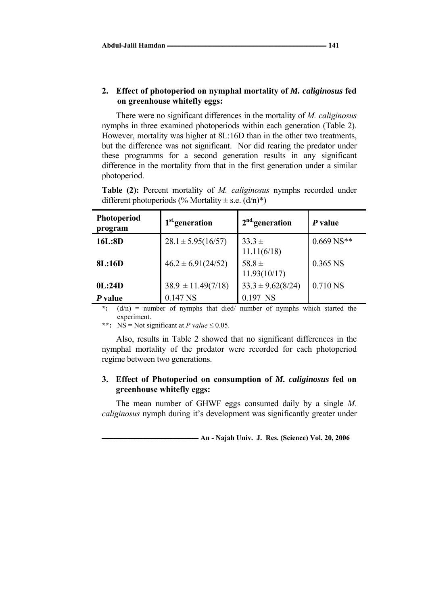## **2. Effect of photoperiod on nymphal mortality of** *M. caliginosus* **fed on greenhouse whitefly eggs:**

There were no significant differences in the mortality of *M. caliginosus* nymphs in three examined photoperiods within each generation (Table 2). However, mortality was higher at 8L:16D than in the other two treatments, but the difference was not significant. Nor did rearing the predator under these programms for a second generation results in any significant difference in the mortality from that in the first generation under a similar photoperiod.

**Table (2):** Percent mortality of *M. caliginosus* nymphs recorded under different photoperiods (% Mortality  $\pm$  s.e.  $(d/n)^{*}$ )

| <b>Photoperiod</b><br>program | 1 <sup>st</sup> generation | $2nd$ generation           | P value      |  |
|-------------------------------|----------------------------|----------------------------|--------------|--|
| 16L:8D                        | $28.1 \pm 5.95(16/57)$     | $33.3 \pm$<br>11.11(6/18)  | $0.669$ NS** |  |
| 8L:16D                        | $46.2 \pm 6.91(24/52)$     | 58.8 $\pm$<br>11.93(10/17) | 0.365 NS     |  |
| 0L:24D                        | $38.9 \pm 11.49(7/18)$     | $33.3 \pm 9.62(8/24)$      | 0.710 NS     |  |
| P value                       | $0.147$ NS                 | 0.197 NS                   |              |  |

**\*:** (d/n) = number of nymphs that died/ number of nymphs which started the experiment.

\*\*:  $NS = Not significant at P value \le 0.05$ .

Also, results in Table 2 showed that no significant differences in the nymphal mortality of the predator were recorded for each photoperiod regime between two generations.

# **3. Effect of Photoperiod on consumption of** *M. caliginosus* **fed on greenhouse whitefly eggs:**

The mean number of GHWF eggs consumed daily by a single *M. caliginosus* nymph during it's development was significantly greater under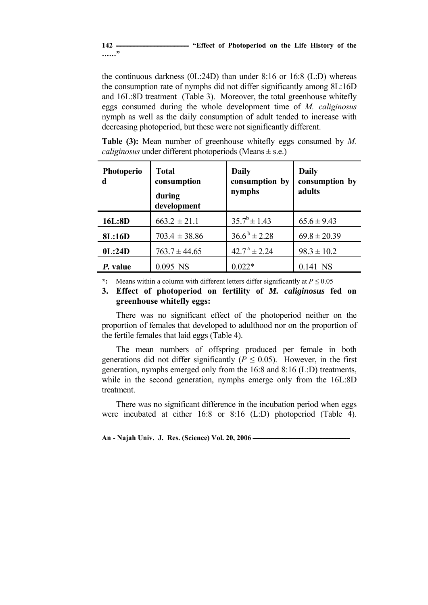# **142 ـــــــــــــــــــــــــــــــــــــــــــــــــــ" Effect of Photoperiod on the Life History of the**

**……"**

the continuous darkness (0L:24D) than under 8:16 or 16:8 (L:D) whereas the consumption rate of nymphs did not differ significantly among 8L:16D and 16L:8D treatment (Table 3). Moreover, the total greenhouse whitefly eggs consumed during the whole development time of *M. caliginosus*  nymph as well as the daily consumption of adult tended to increase with decreasing photoperiod, but these were not significantly different.

| <b>Table (3):</b> Mean number of greenhouse white fly eggs consumed by $M$ . |  |  |  |  |  |  |  |  |  |
|------------------------------------------------------------------------------|--|--|--|--|--|--|--|--|--|
| <i>caliginosus</i> under different photoperiods (Means $\pm$ s.e.)           |  |  |  |  |  |  |  |  |  |

| <b>Photoperio</b><br>d | <b>Total</b><br>consumption<br>during<br>development | <b>Daily</b><br>consumption by<br>nymphs | <b>Daily</b><br>consumption by<br>adults |
|------------------------|------------------------------------------------------|------------------------------------------|------------------------------------------|
| 16L:8D                 | $663.2 \pm 21.1$                                     | $35.7^b \pm 1.43$                        | $65.6 \pm 9.43$                          |
| <b>8L:16D</b>          | $703.4 \pm 38.86$                                    | $36.6^{\mathrm{b}} \pm 2.28$             | $69.8 \pm 20.39$                         |
| 0L:24D                 | $763.7 \pm 44.65$                                    | $42.7^{\text{a}} \pm 2.24$               | $98.3 \pm 10.2$                          |
| P. value               | 0.095 NS                                             | $0.022*$                                 | $0.141$ NS                               |

**\*:** Means within a column with different letters differ significantly at *P ≤* 0.05

## **3. Effect of photoperiod on fertility of** *M. caliginosus* **fed on greenhouse whitefly eggs:**

There was no significant effect of the photoperiod neither on the proportion of females that developed to adulthood nor on the proportion of the fertile females that laid eggs (Table 4).

The mean numbers of offspring produced per female in both generations did not differ significantly ( $P \le 0.05$ ). However, in the first generation, nymphs emerged only from the 16:8 and 8:16 (L:D) treatments, while in the second generation, nymphs emerge only from the 16L:8D treatment.

There was no significant difference in the incubation period when eggs were incubated at either 16:8 or 8:16 (L:D) photoperiod (Table 4).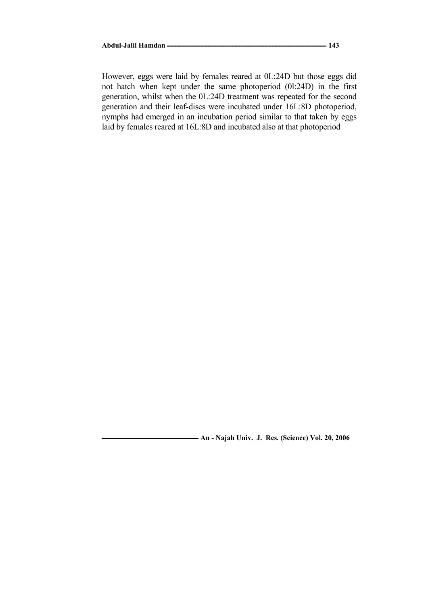However, eggs were laid by females reared at 0L:24D but those eggs did not hatch when kept under the same photoperiod (0l:24D) in the first generation, whilst when the 0L:24D treatment was repeated for the second generation and their leaf-discs were incubated under 16L:8D photoperiod, nymphs had emerged in an incubation period similar to that taken by eggs laid by females reared at 16L:8D and incubated also at that photoperiod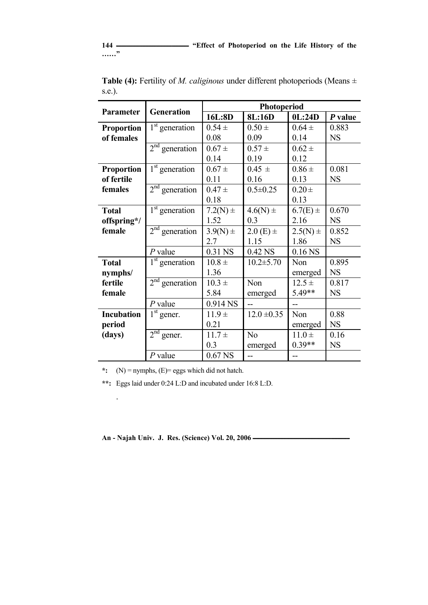**……"**

| <b>Parameter</b>  |                  | Photoperiod  |                 |                    |           |  |
|-------------------|------------------|--------------|-----------------|--------------------|-----------|--|
|                   | Generation       | 16L:8D       | 8L:16D          | 0L:24D             | $P$ value |  |
| <b>Proportion</b> | $1st$ generation | $0.54 \pm$   | $0.50 \pm$      | $0.64 \pm$         | 0.883     |  |
| of females        |                  | 0.08         | 0.09            | 0.14               | <b>NS</b> |  |
|                   | $2nd$ generation | $0.67 \pm$   | $0.57 \pm$      | $0.62 \pm$         |           |  |
|                   |                  | 0.14         | 0.19            | 0.12               |           |  |
| <b>Proportion</b> | $1st$ generation | $0.67 \pm$   | $0.45 \pm$      | $0.86 \pm$         | 0.081     |  |
| of fertile        |                  | 0.11         | 0.16            | 0.13               | <b>NS</b> |  |
| females           | $2nd$ generation | $0.47 +$     | $0.5 \pm 0.25$  | $0.20 \pm$         |           |  |
|                   |                  | 0.18         |                 | 0.13               |           |  |
| <b>Total</b>      | $1st$ generation | $7.2(N)$ ±   | $4.6(N) \pm$    | $6.7(E) \pm$       | 0.670     |  |
| offspring*/       |                  | 1.52         | 0.3             | 2.16               | <b>NS</b> |  |
| female            | $2nd$ generation | $3.9(N) \pm$ | $2.0(E) \pm$    | $2.5(N) \pm$       | 0.852     |  |
|                   |                  | 2.7          | 1.15            | 1.86               | <b>NS</b> |  |
|                   | $P$ value        | 0.31 NS      | 0.42 NS         | 0.16 <sub>NS</sub> |           |  |
| <b>Total</b>      | $1st$ generation | $10.8 \pm$   | $10.2 \pm 5.70$ | Non                | 0.895     |  |
| nymphs/           |                  | 1.36         |                 | emerged            | <b>NS</b> |  |
| fertile           | $2nd$ generation | $10.3 \pm$   | Non             | $12.5 +$           | 0.817     |  |
| female            |                  | 5.84         | emerged         | 5.49**             | <b>NS</b> |  |
|                   | $P$ value        | 0.914 NS     |                 |                    |           |  |
| <b>Incubation</b> | $1st$ gener.     | $11.9 +$     | $12.0 \pm 0.35$ | Non                | 0.88      |  |
| period            |                  | 0.21         |                 | emerged            | <b>NS</b> |  |
| (days)            | $2nd$ gener.     | $11.7 +$     | N <sub>o</sub>  | $11.0 \pm$         | 0.16      |  |
|                   |                  | 0.3          | emerged         | $0.39**$           | <b>NS</b> |  |
|                   | $P$ value        | $0.67$ NS    |                 |                    |           |  |

Table (4): Fertility of *M. caliginous* under different photoperiods (Means  $\pm$ s.e.).

**\*:** (N) = nymphs, (E)= eggs which did not hatch.

.

**\*\*:** Eggs laid under 0:24 L:D and incubated under 16:8 L:D.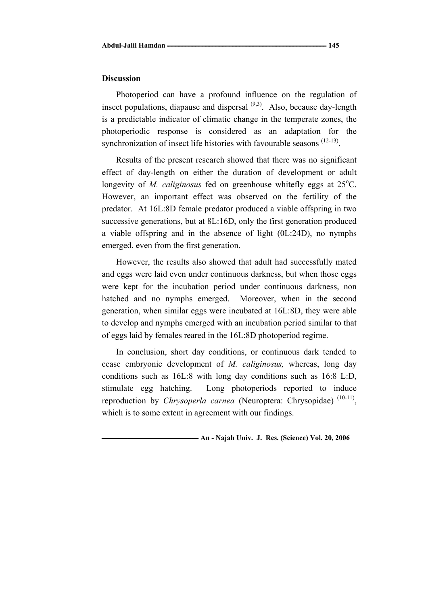#### **Discussion**

Photoperiod can have a profound influence on the regulation of insect populations, diapause and dispersal  $(9,3)$ . Also, because day-length is a predictable indicator of climatic change in the temperate zones, the photoperiodic response is considered as an adaptation for the synchronization of insect life histories with favourable seasons  $(12-13)$ .

Results of the present research showed that there was no significant effect of day-length on either the duration of development or adult longevity of *M. caliginosus* fed on greenhouse whitefly eggs at 25°C. However, an important effect was observed on the fertility of the predator. At 16L:8D female predator produced a viable offspring in two successive generations, but at 8L:16D, only the first generation produced a viable offspring and in the absence of light (0L:24D), no nymphs emerged, even from the first generation.

However, the results also showed that adult had successfully mated and eggs were laid even under continuous darkness, but when those eggs were kept for the incubation period under continuous darkness, non hatched and no nymphs emerged. Moreover, when in the second generation, when similar eggs were incubated at 16L:8D, they were able to develop and nymphs emerged with an incubation period similar to that of eggs laid by females reared in the 16L:8D photoperiod regime.

In conclusion, short day conditions, or continuous dark tended to cease embryonic development of *M. caliginosus,* whereas, long day conditions such as 16L:8 with long day conditions such as 16:8 L:D, stimulate egg hatching. Long photoperiods reported to induce reproduction by *Chrysoperla carnea* (Neuroptera: Chrysopidae)<sup>(10-11)</sup>, which is to some extent in agreement with our findings.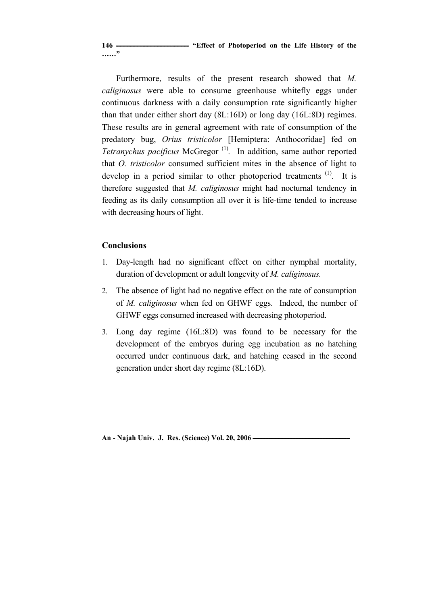**146 ـــــــــــــــــــــــــــــــــــــــــــــــــــ" Effect of Photoperiod on the Life History of the ……"**

Furthermore, results of the present research showed that *M. caliginosus* were able to consume greenhouse whitefly eggs under continuous darkness with a daily consumption rate significantly higher than that under either short day (8L:16D) or long day (16L:8D) regimes. These results are in general agreement with rate of consumption of the predatory bug, *Orius tristicolor* [Hemiptera: Anthocoridae] fed on *Tetranychus pacificus* McGregor<sup>(1)</sup>. In addition, same author reported that *O. tristicolor* consumed sufficient mites in the absence of light to develop in a period similar to other photoperiod treatments <sup>(1)</sup>. It is therefore suggested that *M. caliginosus* might had nocturnal tendency in feeding as its daily consumption all over it is life-time tended to increase with decreasing hours of light.

# **Conclusions**

- 1. Day-length had no significant effect on either nymphal mortality, duration of development or adult longevity of *M. caliginosus.*
- 2. The absence of light had no negative effect on the rate of consumption of *M. caliginosus* when fed on GHWF eggs. Indeed, the number of GHWF eggs consumed increased with decreasing photoperiod.
- 3. Long day regime (16L:8D) was found to be necessary for the development of the embryos during egg incubation as no hatching occurred under continuous dark, and hatching ceased in the second generation under short day regime (8L:16D).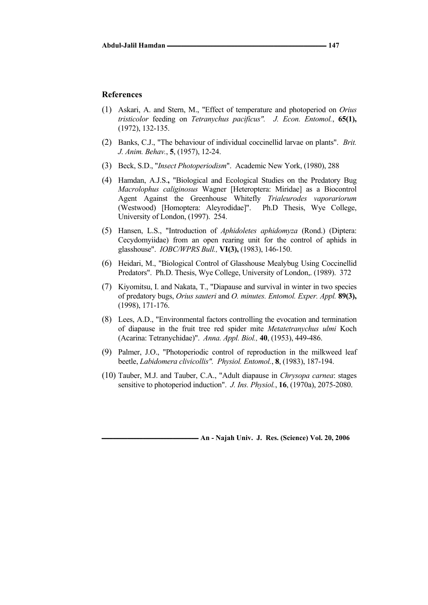#### **References**

- (1) Askari, A. and Stern, M., "Effect of temperature and photoperiod on *Orius tristicolor* feeding on *Tetranychus pacificus". J. Econ. Entomol.*, **65(1),** (1972), 132-135.
- (2) Banks, C.J., "The behaviour of individual coccinellid larvae on plants". *Brit. J. Anim. Behav.*, **5**, (1957), 12-24.
- (3) Beck, S.D., "*Insect Photoperiodism*". Academic New York, (1980), 288
- (4) Hamdan, A.J.S.**,** "Biological and Ecological Studies on the Predatory Bug *Macrolophus caliginosus* Wagner [Heteroptera: Miridae] as a Biocontrol Agent Against the Greenhouse Whitefly *Trialeurodes vaporariorum*  (Westwood) [Homoptera: Aleyrodidae]". Ph.D Thesis, Wye College, University of London, (1997). 254.
- (5) Hansen, L.S., "Introduction of *Aphidoletes aphidomyza* (Rond.) (Diptera: Cecydomyiidae) from an open rearing unit for the control of aphids in glasshouse". *IOBC/WPRS Bull.,* **VI(3),** (1983), 146-150.
- (6) Heidari, M., "Biological Control of Glasshouse Mealybug Using Coccinellid Predators". Ph.D. Thesis, Wye College, University of London,. (1989). 372
- (7) Kiyomitsu, I. and Nakata, T., "Diapause and survival in winter in two species of predatory bugs, *Orius sauteri* and *O. minutes. Entomol. Exper. Appl.* **89(3),**  (1998), 171-176.
- (8) Lees, A.D., "Environmental factors controlling the evocation and termination of diapause in the fruit tree red spider mite *Metatetranychus ulmi* Koch (Acarina: Tetranychidae)". *Anna. Appl. Biol.,* **40**, (1953), 449-486.
- (9) Palmer, J.O., "Photoperiodic control of reproduction in the milkweed leaf beetle, *Labidomera clivicollis". Physiol. Entomol.*, **8**, (1983), 187-194.
- (10) Tauber, M.J. and Tauber, C.A., "Adult diapause in *Chrysopa carnea*: stages sensitive to photoperiod induction". *J. Ins. Physiol.*, **16**, (1970a), 2075-2080.